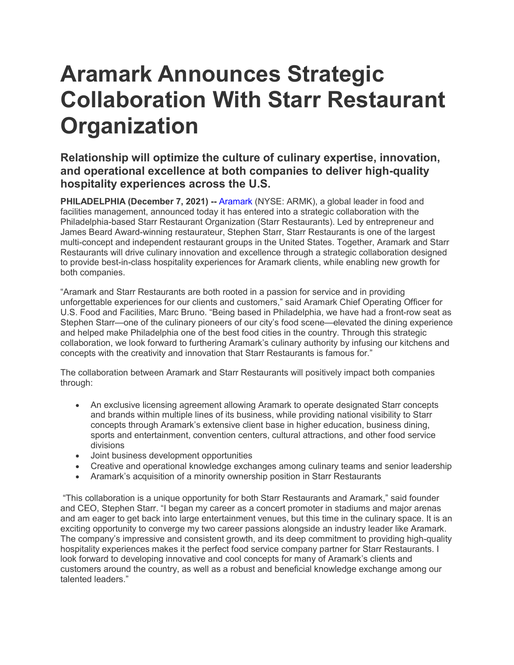## **Aramark Announces Strategic Collaboration With Starr Restaurant Organization**

## **Relationship will optimize the culture of culinary expertise, innovation, and operational excellence at both companies to deliver high-quality hospitality experiences across the U.S.**

**PHILADELPHIA (December 7, 2021) -- Aramark (NYSE: ARMK), a global leader in food and** facilities management, announced today it has entered into a strategic collaboration with the Philadelphia-based Starr Restaurant Organization (Starr Restaurants). Led by entrepreneur and James Beard Award-winning restaurateur, Stephen Starr, Starr Restaurants is one of the largest multi-concept and independent restaurant groups in the United States. Together, Aramark and Starr Restaurants will drive culinary innovation and excellence through a strategic collaboration designed to provide best-in-class hospitality experiences for Aramark clients, while enabling new growth for both companies.

"Aramark and Starr Restaurants are both rooted in a passion for service and in providing unforgettable experiences for our clients and customers," said Aramark Chief Operating Officer for U.S. Food and Facilities, Marc Bruno. "Being based in Philadelphia, we have had a front-row seat as Stephen Starr—one of the culinary pioneers of our city's food scene—elevated the dining experience and helped make Philadelphia one of the best food cities in the country. Through this strategic collaboration, we look forward to furthering Aramark's culinary authority by infusing our kitchens and concepts with the creativity and innovation that Starr Restaurants is famous for."

The collaboration between Aramark and Starr Restaurants will positively impact both companies through:

- An exclusive licensing agreement allowing Aramark to operate designated Starr concepts and brands within multiple lines of its business, while providing national visibility to Starr concepts through Aramark's extensive client base in higher education, business dining, sports and entertainment, convention centers, cultural attractions, and other food service divisions
- Joint business development opportunities
- Creative and operational knowledge exchanges among culinary teams and senior leadership
- Aramark's acquisition of a minority ownership position in Starr Restaurants

"This collaboration is a unique opportunity for both Starr Restaurants and Aramark," said founder and CEO, Stephen Starr. "I began my career as a concert promoter in stadiums and major arenas and am eager to get back into large entertainment venues, but this time in the culinary space. It is an exciting opportunity to converge my two career passions alongside an industry leader like Aramark. The company's impressive and consistent growth, and its deep commitment to providing high-quality hospitality experiences makes it the perfect food service company partner for Starr Restaurants. I look forward to developing innovative and cool concepts for many of Aramark's clients and customers around the country, as well as a robust and beneficial knowledge exchange among our talented leaders."